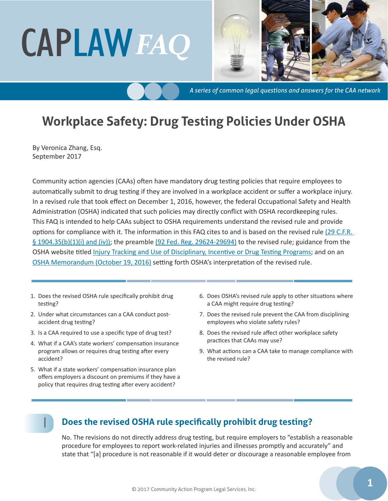# CAPLAW*FAQ*



*A series of common legal questions and answers for the CAA network*

# **Workplace Safety: Drug Testing Policies Under OSHA**

By Veronica Zhang, Esq. September 2017

Community action agencies (CAAs) often have mandatory drug testing policies that require employees to automatically submit to drug testing if they are involved in a workplace accident or suffer a workplace injury. In a revised rule that took effect on December 1, 2016, however, the federal Occupational Safety and Health Administration (OSHA) indicated that such policies may directly conflict with OSHA recordkeeping rules. This FAQ is intended to help CAAs subject to OSHA requirements understand the revised rule and provide options for compliance with it. The information in this FAQ cites to and is based on the revised rule [\(29 C.F.R.](https://www.ecfr.gov/cgi-bin/text-idx?SID=09de18d79272bf0bd18cb02c6cd7d7bb&mc=true&node=se29.5.1904_135&rgn=div8)  [§ 1904.35\(b\)\(1\)\(i\) and \(iv\)\)](https://www.ecfr.gov/cgi-bin/text-idx?SID=09de18d79272bf0bd18cb02c6cd7d7bb&mc=true&node=se29.5.1904_135&rgn=div8); the preamble [\(92 Fed. Reg. 29624-29694\)](https://www.gpo.gov/fdsys/pkg/FR-2016-05-12/pdf/2016-10443.pdf) to the revised rule; guidance from the OSHA website titled [Injury Tracking and Use of Disciplinary, Incentive or Drug Testing Programs](https://www.osha.gov/recordkeeping/modernization_guidance.html); and on an [OSHA Memorandum \(October 19, 2016\)](https://www.osha.gov/recordkeeping/finalrule/interp_recordkeeping_101816.html) setting forth OSHA's interpretation of the revised rule.

- 1. Does the revised OSHA rule specifically prohibit drug testing?
- [2. Under what circumstances can a CAA conduct post](#page-1-0)[accident drug testing?](#page-1-0)
- [3. Is a CAA required to use a specific type of drug test?](#page-1-0)
- [4. What if a CAA's state workers' compensation insurance](#page-2-0)  [program allows or requires drug testing after every](#page-2-0)  [accident?](#page-2-0)
- 5. [What if a state workers' compensation insurance plan](#page-2-0)  [offers employers a discount on premiums if they have a](#page-2-0)  [policy that requires drug testing after every accident?](#page-2-0)

1

- 6. [Does OSHA's revised rule apply to other situations where](#page-2-0)  [a CAA might require drug testing?](#page-2-0)
- 7. [Does the revised rule prevent the CAA from disciplining](#page-3-0)  [employees who violate safety rules?](#page-3-0)
- 8. [Does the revised rule affect other workplace safety](#page-3-0)  [practices that CAAs may use?](#page-3-0)
- [9. What actions can a CAA take to manage compliance with](#page-4-0)  [the revised rule?](#page-4-0)

## **Does the revised OSHA rule specifically prohibit drug testing?**

No. The revisions do not directly address drug testing, but require employers to "establish a reasonable procedure for employees to report work-related injuries and illnesses promptly and accurately" and state that "[a] procedure is not reasonable if it would deter or discourage a reasonable employee from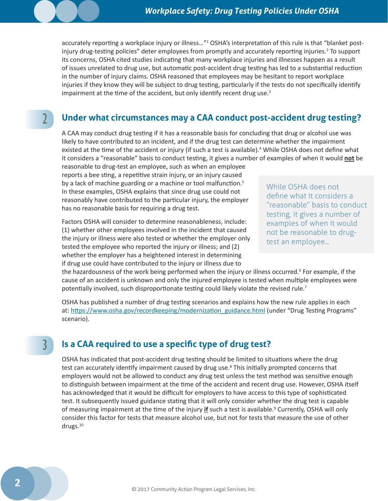<span id="page-1-0"></span>accurately reporting a workplace injury or illness..."<sup>1</sup> OSHA's interpretation of this rule is that "blanket postinjury drug-testing policies" deter employees from promptly and accurately reporting injuries.<sup>2</sup> To support its concerns, OSHA cited studies indicating that many workplace injuries and illnesses happen as a result of issues unrelated to drug use, but automatic post-accident drug testing has led to a substantial reduction in the number of injury claims. OSHA reasoned that employees may be hesitant to report workplace injuries if they know they will be subject to drug testing, particularly if the tests do not specifically identify impairment at the time of the accident, but only identify recent drug use. $3$ 

# 2

3

## **Under what circumstances may a CAA conduct post-accident drug testing?**

A CAA may conduct drug testing if it has a reasonable basis for concluding that drug or alcohol use was likely to have contributed to an incident, and if the drug test can determine whether the impairment existed at the time of the accident or injury (if such a test is available).<sup>4</sup> While OSHA does not define what it considers a "reasonable" basis to conduct testing, it gives a number of examples of when it would **not** be reasonable to drug-test an employee, such as when an employee

reports a bee sting, a repetitive strain injury, or an injury caused by a lack of machine guarding or a machine or tool malfunction.<sup>5</sup> In these examples, OSHA explains that since drug use could not reasonably have contributed to the particular injury, the employer has no reasonable basis for requiring a drug test.

Factors OSHA will consider to determine reasonableness, include: (1) whether other employees involved in the incident that caused the injury or illness were also tested or whether the employer only tested the employee who reported the injury or illness; and (2) whether the employer has a heightened interest in determining if drug use could have contributed to the injury or illness due to

While OSHA does not define what it considers a "reasonable" basis to conduct testing, it gives a number of examples of when it would not be reasonable to drugtest an employee...

the hazardousness of the work being performed when the injury or illness occurred.<sup>6</sup> For example, if the cause of an accident is unknown and only the injured employee is tested when multiple employees were potentially involved, such disproportionate testing could likely violate the revised rule.<sup>7</sup>

OSHA has published a number of drug testing scenarios and explains how the new rule applies in each at: [https://www.osha.gov/recordkeeping/modernization\\_guidance.html](https://www.osha.gov/recordkeeping/modernization_guidance.html) (under "Drug Testing Programs" scenario).

#### **Is a CAA required to use a specific type of drug test?**

OSHA has indicated that post-accident drug testing should be limited to situations where the drug test can accurately identify impairment caused by drug use.<sup>8</sup> This initially prompted concerns that employers would not be allowed to conduct any drug test unless the test method was sensitive enough to distinguish between impairment at the time of the accident and recent drug use. However, OSHA itself has acknowledged that it would be difficult for employers to have access to this type of sophisticated test. It subsequently issued guidance stating that it will only consider whether the drug test is capable of measuring impairment at the time of the injury if such a test is available.<sup>9</sup> Currently, OSHA will only consider this factor for tests that measure alcohol use, but not for tests that measure the use of other drugs.<sup>10</sup>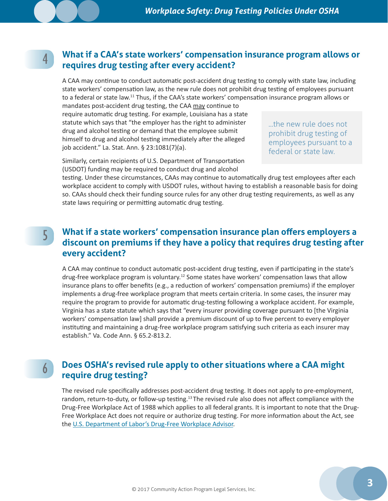<span id="page-2-0"></span>4

#### **What if a CAA's state workers' compensation insurance program allows or requires drug testing after every accident?**

A CAA may continue to conduct automatic post-accident drug testing to comply with state law, including state workers' compensation law, as the new rule does not prohibit drug testing of employees pursuant to a federal or state law.11 Thus, if the CAA's state workers' compensation insurance program allows or

mandates post-accident drug testing, the CAA may continue to require automatic drug testing. For example, Louisiana has a state statute which says that "the employer has the right to administer drug and alcohol testing or demand that the employee submit himself to drug and alcohol testing immediately after the alleged job accident." La. Stat. Ann. § 23:1081(7)(a).

...the new rule does not prohibit drug testing of employees pursuant to a federal or state law.

Similarly, certain recipients of U.S. Department of Transportation (USDOT) funding may be required to conduct drug and alcohol

testing. Under these circumstances, CAAs may continue to automatically drug test employees after each workplace accident to comply with USDOT rules, without having to establish a reasonable basis for doing so. CAAs should check their funding source rules for any other drug testing requirements, as well as any state laws requiring or permitting automatic drug testing.

## **What if a state workers' compensation insurance plan offers employers a discount on premiums if they have a policy that requires drug testing after every accident?**

A CAA may continue to conduct automatic post-accident drug testing, even if participating in the state's drug-free workplace program is voluntary.12 Some states have workers' compensation laws that allow insurance plans to offer benefits (e.g., a reduction of workers' compensation premiums) if the employer implements a drug-free workplace program that meets certain criteria. In some cases, the insurer may require the program to provide for automatic drug-testing following a workplace accident. For example, Virginia has a state statute which says that "every insurer providing coverage pursuant to [the Virginia workers' compensation law] shall provide a premium discount of up to five percent to every employer instituting and maintaining a drug-free workplace program satisfying such criteria as each insurer may establish." Va. Code Ann. § 65.2-813.2.

6

5

## **Does OSHA's revised rule apply to other situations where a CAA might require drug testing?**

The revised rule specifically addresses post-accident drug testing. It does not apply to pre-employment, random, return-to-duty, or follow-up testing.<sup>13</sup> The revised rule also does not affect compliance with the Drug-Free Workplace Act of 1988 which applies to all federal grants. It is important to note that the Drug-Free Workplace Act does not require or authorize drug testing. For more information about the Act, see the [U.S. Department of Labor's Drug-Free Workplace Advisor](http://webapps.dol.gov/elaws/asp/drugfree/screen4.htm).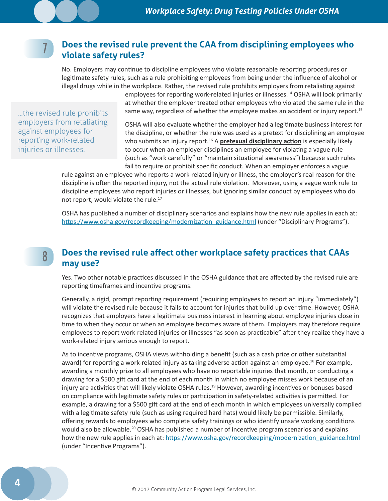#### **Does the revised rule prevent the CAA from disciplining employees who violate safety rules?**

No. Employers may continue to discipline employees who violate reasonable reporting procedures or legitimate safety rules, such as a rule prohibiting employees from being under the influence of alcohol or illegal drugs while in the workplace. Rather, the revised rule prohibits employers from retaliating against

> employees for reporting work-related injuries or illnesses.14 OSHA will look primarily at whether the employer treated other employees who violated the same rule in the same way, regardless of whether the employee makes an accident or injury report.<sup>15</sup>

...the revised rule prohibits employers from retaliating against employees for reporting work-related injuries or illnesses.

8

<span id="page-3-0"></span>7

OSHA will also evaluate whether the employer had a legitimate business interest for the discipline, or whether the rule was used as a pretext for disciplining an employee who submits an injury report.<sup>16</sup> A **pretexual disciplinary action** is especially likely to occur when an employer disciplines an employee for violating a vague rule (such as "work carefully" or "maintain situational awareness") because such rules fail to require or prohibit specific conduct. When an employer enforces a vague

rule against an employee who reports a work-related injury or illness, the employer's real reason for the discipline is often the reported injury, not the actual rule violation. Moreover, using a vague work rule to discipline employees who report injuries or illnesses, but ignoring similar conduct by employees who do not report, would violate the rule.<sup>17</sup>

OSHA has published a number of disciplinary scenarios and explains how the new rule applies in each at: https://www.osha.gov/recordkeeping/modernization\_guidance.html (under "Disciplinary Programs").

#### **Does the revised rule affect other workplace safety practices that CAAs may use?**

Yes. Two other notable practices discussed in the OSHA guidance that are affected by the revised rule are reporting timeframes and incentive programs.

Generally, a rigid, prompt reporting requirement (requiring employees to report an injury "immediately") will violate the revised rule because it fails to account for injuries that build up over time. However, OSHA recognizes that employers have a legitimate business interest in learning about employee injuries close in time to when they occur or when an employee becomes aware of them. Employers may therefore require employees to report work-related injuries or illnesses "as soon as practicable" after they realize they have a work-related injury serious enough to report.

As to incentive programs, OSHA views withholding a benefit (such as a cash prize or other substantial award) for reporting a work-related injury as taking adverse action against an employee.<sup>18</sup> For example, awarding a monthly prize to all employees who have no reportable injuries that month, or conducting a drawing for a \$500 gift card at the end of each month in which no employee misses work because of an injury are activities that will likely violate OSHA rules.<sup>19</sup> However, awarding incentives or bonuses based on compliance with legitimate safety rules or participation in safety-related activities is permitted. For example, a drawing for a \$500 gift card at the end of each month in which employees universally complied with a legitimate safety rule (such as using required hard hats) would likely be permissible. Similarly, offering rewards to employees who complete safety trainings or who identify unsafe working conditions would also be allowable.<sup>20</sup> OSHA has published a number of incentive program scenarios and explains how the new rule applies in each at: [https://www.osha.gov/recordkeeping/modernization\\_guidance.html](https://www.osha.gov/recordkeeping/modernization_guidance.html) (under "Incentive Programs").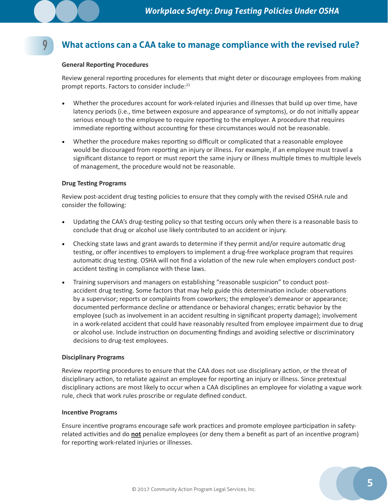# <span id="page-4-0"></span>9

# **What actions can a CAA take to manage compliance with the revised rule?**

#### **General Reporting Procedures**

Review general reporting procedures for elements that might deter or discourage employees from making prompt reports. Factors to consider include:<sup>21</sup>

- Whether the procedures account for work-related injuries and illnesses that build up over time, have latency periods (i.e., time between exposure and appearance of symptoms), or do not initially appear serious enough to the employee to require reporting to the employer. A procedure that requires immediate reporting without accounting for these circumstances would not be reasonable.
- Whether the procedure makes reporting so difficult or complicated that a reasonable employee would be discouraged from reporting an injury or illness. For example, if an employee must travel a significant distance to report or must report the same injury or illness multiple times to multiple levels of management, the procedure would not be reasonable.

#### **Drug Testing Programs**

Review post-accident drug testing policies to ensure that they comply with the revised OSHA rule and consider the following:

- Updating the CAA's drug-testing policy so that testing occurs only when there is a reasonable basis to conclude that drug or alcohol use likely contributed to an accident or injury.
- Checking state laws and grant awards to determine if they permit and/or require automatic drug testing, or offer incentives to employers to implement a drug-free workplace program that requires automatic drug testing. OSHA will not find a violation of the new rule when employers conduct postaccident testing in compliance with these laws.
- Training supervisors and managers on establishing "reasonable suspicion" to conduct postaccident drug testing. Some factors that may help guide this determination include: observations by a supervisor; reports or complaints from coworkers; the employee's demeanor or appearance; documented performance decline or attendance or behavioral changes; erratic behavior by the employee (such as involvement in an accident resulting in significant property damage); involvement in a work-related accident that could have reasonably resulted from employee impairment due to drug or alcohol use. Include instruction on documenting findings and avoiding selective or discriminatory decisions to drug-test employees.

#### **Disciplinary Programs**

Review reporting procedures to ensure that the CAA does not use disciplinary action, or the threat of disciplinary action, to retaliate against an employee for reporting an injury or illness. Since pretextual disciplinary actions are most likely to occur when a CAA disciplines an employee for violating a vague work rule, check that work rules proscribe or regulate defined conduct.

#### **Incentive Programs**

Ensure incentive programs encourage safe work practices and promote employee participation in safetyrelated activities and do **not** penalize employees (or deny them a benefit as part of an incentive program) for reporting work-related injuries or illnesses.